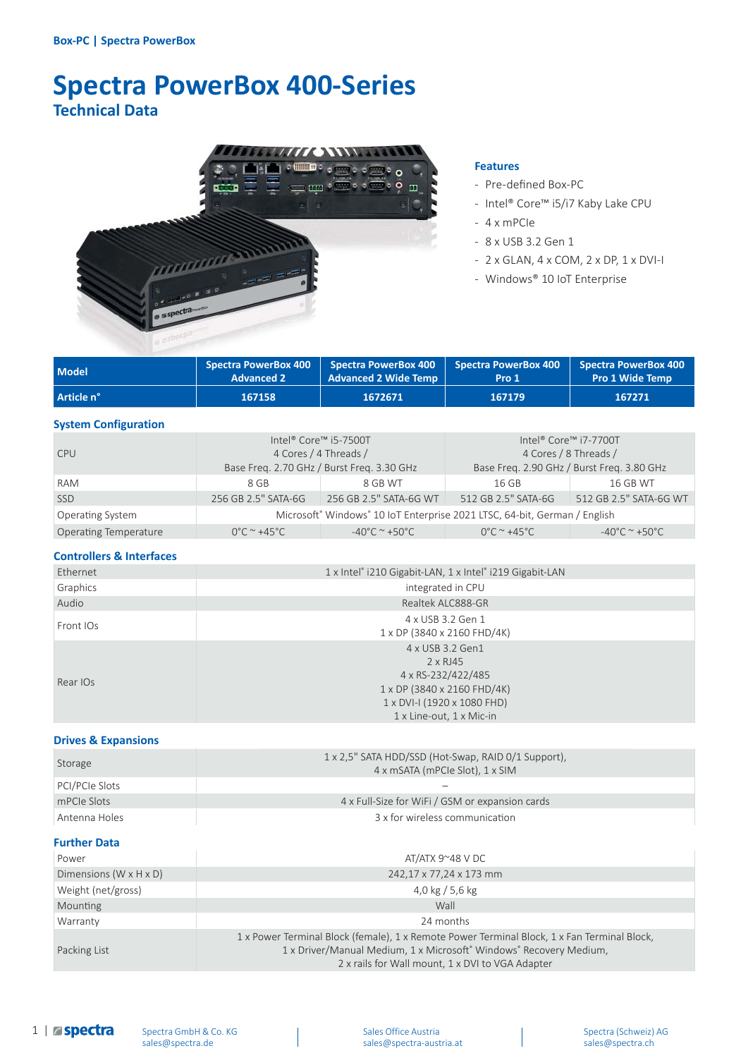# **Spectra PowerBox 400-Series Technical Data**



#### **Features**

- Pre-defined Box-PC
- Intel® Core™ i5/i7 Kaby Lake CPU
- 4 x mPCIe
- 8 x USB 3.2 Gen 1
- 2 x GLAN, 4 x COM, 2 x DP, 1 x DVI-I
- Windows® 10 IoT Enterprise

| <b>Model</b> | <b>Advanced 2</b> | Spectra PowerBox 400 $\parallel$ Spectra PowerBox 400 $\parallel$ Spectra PowerBox 400 $\parallel$ Spectra PowerBox 400<br>Advanced 2 Wide Temp | Pro 1  | <b>Pro 1 Wide Temp</b> |
|--------------|-------------------|-------------------------------------------------------------------------------------------------------------------------------------------------|--------|------------------------|
| Article n°   | 167158            | 1672671                                                                                                                                         | 167179 | 167271                 |

#### **System Configuration**

| <b>CPU</b>                   | Intel® Core™ i5-7500T<br>4 Cores / 4 Threads /<br>Base Freq. 2.70 GHz / Burst Freq. 3.30 GHz |                                    | Intel® Core™ i7-7700T<br>4 Cores / 8 Threads /<br>Base Freq. 2.90 GHz / Burst Freq. 3.80 GHz |                                    |
|------------------------------|----------------------------------------------------------------------------------------------|------------------------------------|----------------------------------------------------------------------------------------------|------------------------------------|
| <b>RAM</b>                   | 8 GB                                                                                         | 8 GB WT                            | 16 GB                                                                                        | <b>16 GB WT</b>                    |
| <b>SSD</b>                   | 256 GB 2.5" SATA-6G                                                                          | 256 GB 2.5" SATA-6G WT             | 512 GB 2.5" SATA-6G                                                                          | 512 GB 2.5" SATA-6G WT             |
| <b>Operating System</b>      | Microsoft® Windows® 10 IoT Enterprise 2021 LTSC, 64-bit, German / English                    |                                    |                                                                                              |                                    |
| <b>Operating Temperature</b> | $0^{\circ}$ C ~ +45 $^{\circ}$ C                                                             | $-40^{\circ}$ C ~ +50 $^{\circ}$ C | $0^{\circ}$ C ~ +45 $^{\circ}$ C                                                             | $-40^{\circ}$ C ~ +50 $^{\circ}$ C |

## **Controllers & Interfaces**

| Ethernet  | 1 x Intel® i210 Gigabit-LAN, 1 x Intel® i219 Gigabit-LAN                                                                                       |  |  |  |
|-----------|------------------------------------------------------------------------------------------------------------------------------------------------|--|--|--|
| Graphics  | integrated in CPU                                                                                                                              |  |  |  |
| Audio     | Realtek ALC888-GR                                                                                                                              |  |  |  |
| Front IOs | 4 x USB 3.2 Gen 1<br>1 x DP (3840 x 2160 FHD/4K)                                                                                               |  |  |  |
| Rear IOs  | 4 x USB 3.2 Gen1<br>2 x RJ45<br>4 x RS-232/422/485<br>1 x DP (3840 x 2160 FHD/4K)<br>1 x DVI-I (1920 x 1080 FHD)<br>$1x$ Line-out, $1x$ Mic-in |  |  |  |

### **Drives & Expansions**

| Storage        | 1 x 2,5" SATA HDD/SSD (Hot-Swap, RAID 0/1 Support),<br>4 x mSATA (mPCIe Slot), 1 x SIM |
|----------------|----------------------------------------------------------------------------------------|
| PCI/PCIe Slots |                                                                                        |
| mPCIe Slots    | 4 x Full-Size for WiFi / GSM or expansion cards                                        |
| Antenna Holes  | 3 x for wireless communication                                                         |

### **Further Data**

| Power                                | AT/ATX 9 $\degree$ 48 V DC                                                                                                                                                                                            |  |  |
|--------------------------------------|-----------------------------------------------------------------------------------------------------------------------------------------------------------------------------------------------------------------------|--|--|
| Dimensions ( $W \times H \times D$ ) | 242,17 x 77,24 x 173 mm                                                                                                                                                                                               |  |  |
| Weight (net/gross)                   | 4,0 kg / 5,6 kg                                                                                                                                                                                                       |  |  |
| Mounting                             | Wall                                                                                                                                                                                                                  |  |  |
| Warranty                             | 24 months                                                                                                                                                                                                             |  |  |
| Packing List                         | 1 x Power Terminal Block (female), 1 x Remote Power Terminal Block, 1 x Fan Terminal Block,<br>1 x Driver/Manual Medium, 1 x Microsoft® Windows® Recovery Medium,<br>2 x rails for Wall mount, 1 x DVI to VGA Adapter |  |  |